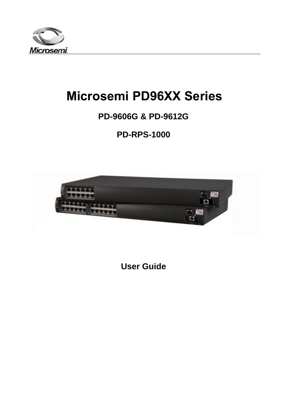

# **Microsemi PD96XX Series**

## **PD-9606G & PD-9612G**

**PD-RPS-1000**



**User Guide**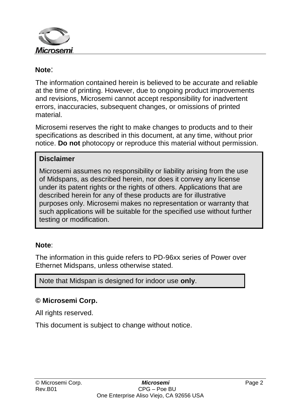

#### **Note**:

The information contained herein is believed to be accurate and reliable at the time of printing. However, due to ongoing product improvements and revisions, Microsemi cannot accept responsibility for inadvertent errors, inaccuracies, subsequent changes, or omissions of printed material.

Microsemi reserves the right to make changes to products and to their specifications as described in this document, at any time, without prior notice. **Do not** photocopy or reproduce this material without permission.

#### **Disclaimer**

Microsemi assumes no responsibility or liability arising from the use of Midspans, as described herein, nor does it convey any license under its patent rights or the rights of others. Applications that are described herein for any of these products are for illustrative purposes only. Microsemi makes no representation or warranty that such applications will be suitable for the specified use without further testing or modification.

#### **Note**:

The information in this guide refers to PD-96xx series of Power over Ethernet Midspans, unless otherwise stated.

Note that Midspan is designed for indoor use **only**.

#### **© Microsemi Corp.**

All rights reserved.

This document is subject to change without notice.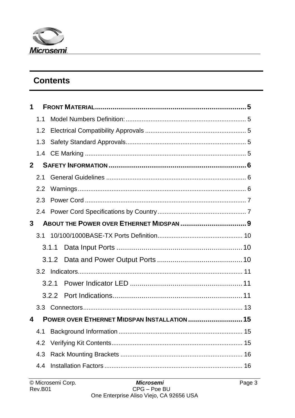

## **Contents**

| 1              |     |       |                                              |  |
|----------------|-----|-------|----------------------------------------------|--|
|                | 1.1 |       |                                              |  |
|                | 1.2 |       |                                              |  |
|                | 1.3 |       |                                              |  |
|                | 1.4 |       |                                              |  |
| $\overline{2}$ |     |       |                                              |  |
|                | 21  |       |                                              |  |
|                | 2.2 |       |                                              |  |
|                | 2.3 |       |                                              |  |
|                |     |       |                                              |  |
| 3              |     |       | ABOUT THE POWER OVER ETHERNET MIDSPAN  9     |  |
|                | 3.1 |       |                                              |  |
|                |     | 3.1.1 |                                              |  |
|                |     |       |                                              |  |
|                |     |       |                                              |  |
|                |     | 3.2.1 |                                              |  |
|                |     | 3.2.2 |                                              |  |
|                |     |       |                                              |  |
| 4              |     |       | POWER OVER ETHERNET MIDSPAN INSTALLATION  15 |  |
|                | 4.1 |       |                                              |  |
|                | 4.2 |       |                                              |  |
|                | 4.3 |       |                                              |  |
|                | 4.4 |       |                                              |  |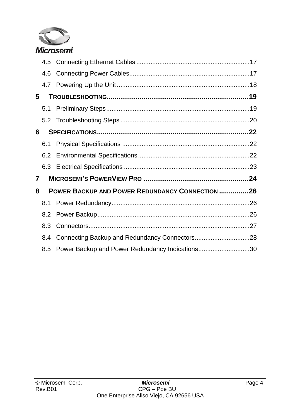

|    | 4.6 |                                                        |  |
|----|-----|--------------------------------------------------------|--|
|    |     |                                                        |  |
| 5. |     |                                                        |  |
|    | 5.1 |                                                        |  |
|    |     |                                                        |  |
| 6  |     |                                                        |  |
|    | 6.1 |                                                        |  |
|    | 6.2 |                                                        |  |
|    |     |                                                        |  |
| 7  |     |                                                        |  |
| 8  |     | <b>POWER BACKUP AND POWER REDUNDANCY CONNECTION 26</b> |  |
|    | 8.1 |                                                        |  |
|    | 8.2 |                                                        |  |
|    | 8.3 |                                                        |  |
|    | 8.4 |                                                        |  |
|    | 8.5 | Power Backup and Power Redundancy Indications30        |  |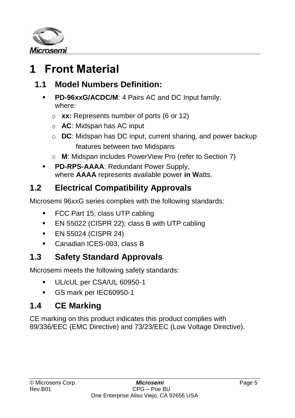

# <span id="page-4-0"></span>**1 Front Material**

## <span id="page-4-1"></span>**1.1 Model Numbers Definition:**

- **PD-96xxG/ACDC/M**: 4 Pairs AC and DC Input family, where:
	- o **xx:** Represents number of ports (6 or 12)
	- o **AC**: Midspan has AC input
	- o **DC**: Midspan has DC input, current sharing, and power backup features between two Midspans
	- o **M**: Midspan includes PowerView Pro (refer to Section [7\)](#page-23-0)
- **PD-RPS-AAAA: Redundant Power Supply,** where **AAAA** represents available power **in W**atts.

## <span id="page-4-2"></span>**1.2 Electrical Compatibility Approvals**

Microsemi 96xxG series complies with the following standards:

- **FCC Part 15; class UTP cabling**
- **EN 55022 (CISPR 22); class B with UTP cabling**
- **EN 55024 (CISPR 24)**
- Canadian ICES-003, class B

### <span id="page-4-3"></span>**1.3 Safety Standard Approvals**

Microsemi meets the following safety standards:

- UL/cUL per CSA/UL 60950-1
- GS mark per IEC60950-1

## <span id="page-4-4"></span>**1.4 CE Marking**

CE marking on this product indicates this product complies with 89/336/EEC (EMC Directive) and 73/23/EEC (Low Voltage Directive).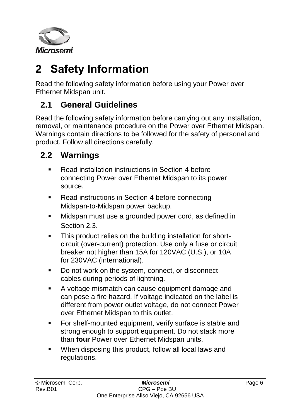

# <span id="page-5-0"></span>**2 Safety Information**

Read the following safety information before using your Power over Ethernet Midspan unit.

## <span id="page-5-1"></span>**2.1 General Guidelines**

Read the following safety information before carrying out any installation, removal, or maintenance procedure on the Power over Ethernet Midspan. Warnings contain directions to be followed for the safety of personal and product. Follow all directions carefully.

## <span id="page-5-2"></span>**2.2 Warnings**

- Read installation instructions in Section [4](#page-14-0) before connecting Power over Ethernet Midspan to its power source.
- Read instructions in Section [4](#page-14-0) before connecting Midspan-to-Midspan power backup.
- **Midspan must use a grounded power cord, as defined in** Section [2.3.](#page-6-0)
- **This product relies on the building installation for short**circuit (over-current) protection. Use only a fuse or circuit breaker not higher than 15A for 120VAC (U.S.), or 10A for 230VAC (international).
- Do not work on the system, connect, or disconnect cables during periods of lightning.
- A voltage mismatch can cause equipment damage and can pose a fire hazard. If voltage indicated on the label is different from power outlet voltage, do not connect Power over Ethernet Midspan to this outlet.
- **For shelf-mounted equipment, verify surface is stable and** strong enough to support equipment. Do not stack more than **four** Power over Ethernet Midspan units.
- When disposing this product, follow all local laws and regulations.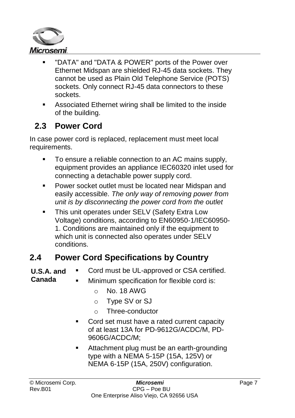

- "DATA" and "DATA & POWER" ports of the Power over Ethernet Midspan are shielded RJ-45 data sockets. They cannot be used as Plain Old Telephone Service (POTS) sockets. Only connect RJ-45 data connectors to these sockets.
- Associated Ethernet wiring shall be limited to the inside of the building.

### <span id="page-6-0"></span>**2.3 Power Cord**

In case power cord is replaced, replacement must meet local requirements.

- To ensure a reliable connection to an AC mains supply, equipment provides an appliance IEC60320 inlet used for connecting a detachable power supply cord.
- Power socket outlet must be located near Midspan and easily accessible. *The only way of removing power from unit is by disconnecting the power cord from the outlet*
- This unit operates under SELV (Safety Extra Low Voltage) conditions, according to EN60950-1/IEC60950- 1. Conditions are maintained only if the equipment to which unit is connected also operates under SELV conditions.

### <span id="page-6-1"></span>**2.4 Power Cord Specifications by Country**

- **U.S.A. and Canada** Cord must be UL-approved or CSA certified. Minimum specification for flexible cord is:
	- $O$  No. 18 AWG
	- o Type SV or SJ
	- o Three-conductor
	- **Cord set must have a rated current capacity** of at least 13A for PD-9612G/ACDC/M, PD-9606G/ACDC/M;
	- **EXEC** Attachment plug must be an earth-grounding type with a NEMA 5-15P (15A, 125V) or NEMA 6-15P (15A, 250V) configuration.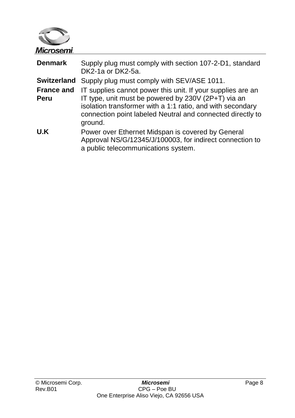

| <b>Denmark</b>            | Supply plug must comply with section 107-2-D1, standard<br>DK2-1a or DK2-5a.                                                                                                                                                                              |
|---------------------------|-----------------------------------------------------------------------------------------------------------------------------------------------------------------------------------------------------------------------------------------------------------|
| Switzerland               | Supply plug must comply with SEV/ASE 1011.                                                                                                                                                                                                                |
| <b>France and</b><br>Peru | IT supplies cannot power this unit. If your supplies are an<br>IT type, unit must be powered by 230V (2P+T) via an<br>isolation transformer with a 1:1 ratio, and with secondary<br>connection point labeled Neutral and connected directly to<br>ground. |
| U.K                       | Power over Ethernet Midspan is covered by General<br>Approval NS/G/12345/J/100003, for indirect connection to<br>a public telecommunications system.                                                                                                      |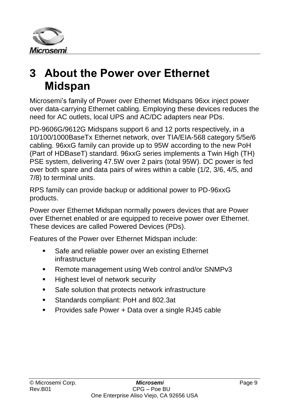

# <span id="page-8-0"></span>**3 About the Power over Ethernet Midspan**

Microsemi's family of Power over Ethernet Midspans 96xx inject power over data-carrying Ethernet cabling. Employing these devices reduces the need for AC outlets, local UPS and AC/DC adapters near PDs.

PD-9606G/9612G Midspans support 6 and 12 ports respectively, in a 10/100/1000BaseTx Ethernet network, over TIA/EIA-568 category 5/5e/6 cabling. 96xxG family can provide up to 95W according to the new PoH (Part of HDBaseT) standard. 96xxG series implements a Twin High (TH) PSE system, delivering 47.5W over 2 pairs (total 95W). DC power is fed over both spare and data pairs of wires within a cable (1/2, 3/6, 4/5, and 7/8) to terminal units.

RPS family can provide backup or additional power to PD-96xxG products.

Power over Ethernet Midspan normally powers devices that are Power over Ethernet enabled or are equipped to receive power over Ethernet. These devices are called Powered Devices (PDs).

Features of the Power over Ethernet Midspan include:

- Safe and reliable power over an existing Ethernet infrastructure
- **Remote management using Web control and/or SNMPv3**
- **Highest level of network security**
- **Safe solution that protects network infrastructure**
- Standards compliant: PoH and 802.3at
- **Provides safe Power + Data over a single RJ45 cable**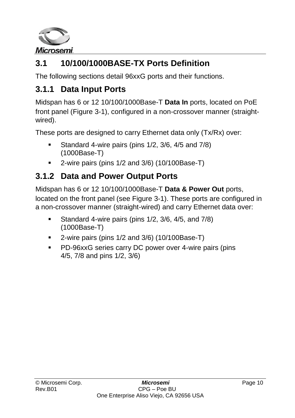

# <span id="page-9-0"></span>**3.1 10/100/1000BASE-TX Ports Definition**

The following sections detail 96xxG ports and their functions.

## <span id="page-9-1"></span>**3.1.1 Data Input Ports**

Midspan has 6 or 12 10/100/1000Base-T **Data In** ports, located on PoE front panel [\(Figure 3-1\)](#page-10-3), configured in a non-crossover manner (straightwired).

These ports are designed to carry Ethernet data only (Tx/Rx) over:

- Standard 4-wire pairs (pins  $1/2$ ,  $3/6$ ,  $4/5$  and  $7/8$ ) (1000Base-T)
- 2-wire pairs (pins 1/2 and 3/6) (10/100Base-T)

## <span id="page-9-2"></span>**3.1.2 Data and Power Output Ports**

Midspan has 6 or 12 10/100/1000Base-T **Data & Power Out** ports, located on the front panel (see [Figure 3-1\)](#page-10-3). These ports are configured in a non-crossover manner (straight-wired) and carry Ethernet data over:

- Standard 4-wire pairs (pins 1/2, 3/6, 4/5, and 7/8) (1000Base-T)
- 2-wire pairs (pins 1/2 and 3/6) (10/100Base-T)
- PD-96xxG series carry DC power over 4-wire pairs (pins 4/5, 7/8 and pins 1/2, 3/6)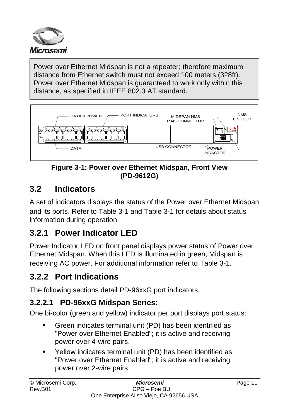

Power over Ethernet Midspan is not a repeater; therefore maximum distance from Ethernet switch must not exceed 100 meters (328ft). Power over Ethernet Midspan is guaranteed to work only within this distance, as specified in IEEE 802.3 AT standard.



**Figure 3-1: Power over Ethernet Midspan, Front View (PD-9612G)**

## <span id="page-10-3"></span><span id="page-10-0"></span>**3.2 Indicators**

A set of indicators displays the status of the Power over Ethernet Midspan and its ports. Refer to [Table 3-1](#page-11-0) and [Table 3-1](#page-11-0) for details about status information during operation.

## <span id="page-10-1"></span>**3.2.1 Power Indicator LED**

Power Indicator LED on front panel displays power status of Power over Ethernet Midspan. When this LED is illuminated in green, Midspan is receiving AC power. For additional information refer to [Table 3-1.](#page-11-0)

## <span id="page-10-2"></span>**3.2.2 Port Indications**

The following sections detail PD-96xxG port indicators.

### **3.2.2.1 PD-96xxG Midspan Series:**

One bi-color (green and yellow) indicator per port displays port status:

- Green indicates terminal unit (PD) has been identified as "Power over Ethernet Enabled"; it is active and receiving power over 4-wire pairs.
- Yellow indicates terminal unit (PD) has been identified as "Power over Ethernet Enabled"; it is active and receiving power over 2-wire pairs.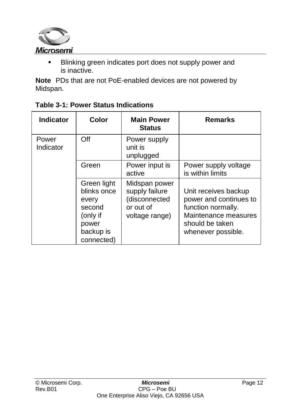

**Blinking green indicates port does not supply power and** is inactive.

**Note** PDs that are not PoE-enabled devices are not powered by Midspan.

| <b>Indicator</b>   | Color                                                                                         | <b>Main Power</b><br><b>Status</b>                                              | <b>Remarks</b>                                                                                                                        |
|--------------------|-----------------------------------------------------------------------------------------------|---------------------------------------------------------------------------------|---------------------------------------------------------------------------------------------------------------------------------------|
| Power<br>Indicator | Off                                                                                           | Power supply<br>unit is<br>unplugged                                            |                                                                                                                                       |
|                    | Green                                                                                         | Power input is<br>active                                                        | Power supply voltage<br>is within limits                                                                                              |
|                    | Green light<br>blinks once<br>every<br>second<br>(only if<br>power<br>backup is<br>connected) | Midspan power<br>supply failure<br>(disconnected<br>or out of<br>voltage range) | Unit receives backup<br>power and continues to<br>function normally.<br>Maintenance measures<br>should be taken<br>whenever possible. |

<span id="page-11-0"></span>

|  | Table 3-1: Power Status Indications |  |
|--|-------------------------------------|--|
|--|-------------------------------------|--|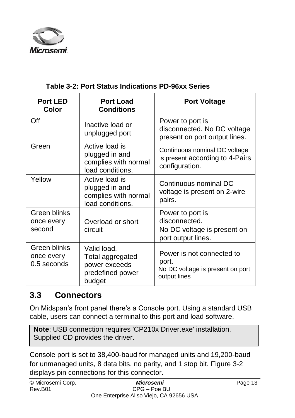

| <b>Port LED</b><br>Color                    | <b>Port Load</b><br><b>Conditions</b>                                          | <b>Port Voltage</b>                                                                    |
|---------------------------------------------|--------------------------------------------------------------------------------|----------------------------------------------------------------------------------------|
| Off                                         | Inactive load or<br>unplugged port                                             | Power to port is<br>disconnected. No DC voltage<br>present on port output lines.       |
| Green                                       | Active load is<br>plugged in and<br>complies with normal<br>load conditions.   | Continuous nominal DC voltage<br>is present according to 4-Pairs<br>configuration.     |
| Yellow                                      | Active load is<br>plugged in and<br>complies with normal<br>load conditions.   | Continuous nominal DC<br>voltage is present on 2-wire<br>pairs.                        |
| Green blinks<br>once every<br>second        | Overload or short<br>circuit                                                   | Power to port is<br>disconnected.<br>No DC voltage is present on<br>port output lines. |
| Green blinks<br>once every<br>$0.5$ seconds | Valid load.<br>Total aggregated<br>power exceeds<br>predefined power<br>budget | Power is not connected to<br>port.<br>No DC voltage is present on port<br>output lines |

#### **Table 3-2: Port Status Indications PD-96xx Series**

#### <span id="page-12-0"></span>**3.3 Connectors**

On Midspan's front panel there's a Console port. Using a standard USB cable, users can connect a terminal to this port and load software.

**Note: USB connection requires 'CP210x Driver.exe' installation.** Supplied CD provides the driver.

Console port is set to 38,400-baud for managed units and 19,200-baud for unmanaged units, 8 data bits, no parity, and 1 stop bit. [Figure](#page-13-0) 3-2 displays pin connections for this connector.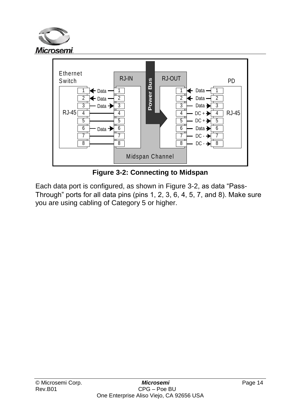



**Figure 3-2: Connecting to Midspan**

<span id="page-13-0"></span>Each data port is configured, as shown in [Figure](#page-13-0) 3-2, as data "Pass-Through" ports for all data pins (pins 1, 2, 3, 6, 4, 5, 7, and 8). Make sure you are using cabling of Category 5 or higher.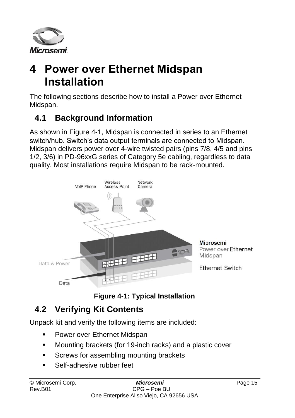

# <span id="page-14-0"></span>**4 Power over Ethernet Midspan Installation**

The following sections describe how to install a Power over Ethernet Midspan.

## <span id="page-14-1"></span>**4.1 Background Information**

As shown in [Figure 4-1,](#page-14-3) Midspan is connected in series to an Ethernet switch/hub. Switch's data output terminals are connected to Midspan. Midspan delivers power over 4-wire twisted pairs (pins 7/8, 4/5 and pins 1/2, 3/6) in PD-96xxG series of Category 5e cabling, regardless to data quality. Most installations require Midspan to be rack-mounted.



**Figure 4-1: Typical Installation**

## <span id="page-14-3"></span><span id="page-14-2"></span>**4.2 Verifying Kit Contents**

Unpack kit and verify the following items are included:

- **Power over Ethernet Midspan**
- Mounting brackets (for 19-inch racks) and a plastic cover
- **Screws for assembling mounting brackets**
- Self-adhesive rubber feet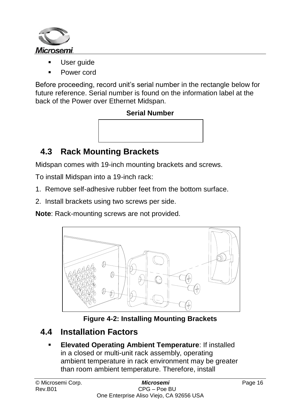

- User guide
- Power cord

Before proceeding, record unit's serial number in the rectangle below for future reference. Serial number is found on the information label at the back of the Power over Ethernet Midspan.

#### **Serial Number**



## <span id="page-15-0"></span>**4.3 Rack Mounting Brackets**

Midspan comes with 19-inch mounting brackets and screws.

To install Midspan into a 19-inch rack:

- 1. Remove self-adhesive rubber feet from the bottom surface.
- 2. Install brackets using two screws per side.

**Note**: Rack-mounting screws are not provided.



**Figure 4-2: Installing Mounting Brackets**

### <span id="page-15-1"></span>**4.4 Installation Factors**

 **Elevated Operating Ambient Temperature**: If installed in a closed or multi-unit rack assembly, operating ambient temperature in rack environment may be greater than room ambient temperature. Therefore, install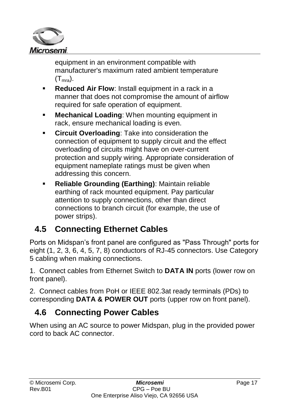

equipment in an environment compatible with manufacturer's maximum rated ambient temperature  $(T<sub>mrs</sub>)$ .

- **Reduced Air Flow:** Install equipment in a rack in a manner that does not compromise the amount of airflow required for safe operation of equipment.
- **Mechanical Loading**: When mounting equipment in rack, ensure mechanical loading is even.
- **Circuit Overloading**: Take into consideration the connection of equipment to supply circuit and the effect overloading of circuits might have on over-current protection and supply wiring. Appropriate consideration of equipment nameplate ratings must be given when addressing this concern.
- **Reliable Grounding (Earthing)**: Maintain reliable earthing of rack mounted equipment. Pay particular attention to supply connections, other than direct connections to branch circuit (for example, the use of power strips).

## <span id="page-16-0"></span>**4.5 Connecting Ethernet Cables**

Ports on Midspan's front panel are configured as "Pass Through" ports for eight (1, 2, 3, 6, 4, 5, 7, 8) conductors of RJ-45 connectors. Use Category 5 cabling when making connections.

1. Connect cables from Ethernet Switch to **DATA IN** ports (lower row on front panel).

2. Connect cables from PoH or IEEE 802.3at ready terminals (PDs) to corresponding **DATA & POWER OUT** ports (upper row on front panel).

## <span id="page-16-1"></span>**4.6 Connecting Power Cables**

When using an AC source to power Midspan, plug in the provided power cord to back AC connector.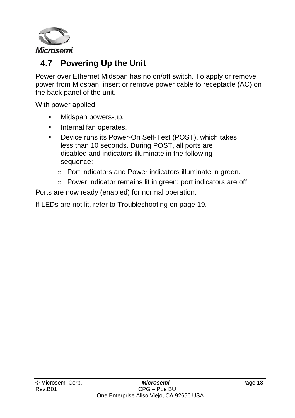

## <span id="page-17-0"></span>**4.7 Powering Up the Unit**

Power over Ethernet Midspan has no on/off switch. To apply or remove power from Midspan, insert or remove power cable to receptacle (AC) on the back panel of the unit.

With power applied;

- **Midspan powers-up.**
- **Internal fan operates.**
- Device runs its Power-On Self-Test (POST), which takes less than 10 seconds. During POST, all ports are disabled and indicators illuminate in the following sequence:
	- o Port indicators and Power indicators illuminate in green.
	- o Power indicator remains lit in green; port indicators are off.

Ports are now ready (enabled) for normal operation.

If LEDs are not lit, refer to [Troubleshooting](#page-18-0) on page [19.](#page-18-0)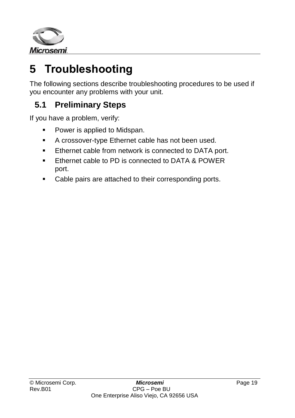

# <span id="page-18-0"></span>**5 Troubleshooting**

The following sections describe troubleshooting procedures to be used if you encounter any problems with your unit.

## <span id="page-18-1"></span>**5.1 Preliminary Steps**

If you have a problem, verify:

- Power is applied to Midspan.
- **A crossover-type Ethernet cable has not been used.**
- **Ethernet cable from network is connected to DATA port.**
- **Ethernet cable to PD is connected to DATA & POWER** port.
- Cable pairs are attached to their corresponding ports.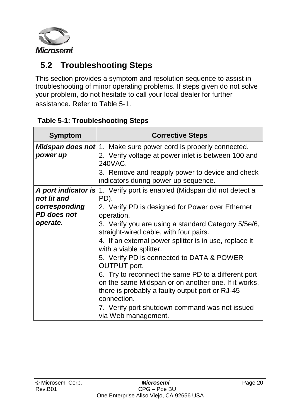

## <span id="page-19-0"></span>**5.2 Troubleshooting Steps**

This section provides a symptom and resolution sequence to assist in troubleshooting of minor operating problems. If steps given do not solve your problem, do not hesitate to call your local dealer for further assistance. Refer to [Table 5-1.](#page-19-1)

| <b>Symptom</b>               | <b>Corrective Steps</b>                                                                                                                                                                     |
|------------------------------|---------------------------------------------------------------------------------------------------------------------------------------------------------------------------------------------|
| power up                     | <b>Midspan does not</b> 1. Make sure power cord is properly connected.<br>2. Verify voltage at power inlet is between 100 and<br>240VAC.<br>3. Remove and reapply power to device and check |
|                              | indicators during power up sequence.                                                                                                                                                        |
| not lit and                  | A port indicator is 1. Verify port is enabled (Midspan did not detect a<br>PD).                                                                                                             |
| corresponding<br>PD does not | 2. Verify PD is designed for Power over Ethernet<br>operation.                                                                                                                              |
| operate.                     | 3. Verify you are using a standard Category 5/5e/6,<br>straight-wired cable, with four pairs.                                                                                               |
|                              | 4. If an external power splitter is in use, replace it<br>with a viable splitter.                                                                                                           |
|                              | 5. Verify PD is connected to DATA & POWER<br>OUTPUT port.                                                                                                                                   |
|                              | 6. Try to reconnect the same PD to a different port<br>on the same Midspan or on another one. If it works,<br>there is probably a faulty output port or RJ-45<br>connection.                |
|                              | 7. Verify port shutdown command was not issued<br>via Web management.                                                                                                                       |

#### <span id="page-19-1"></span>**Table 5-1: Troubleshooting Steps**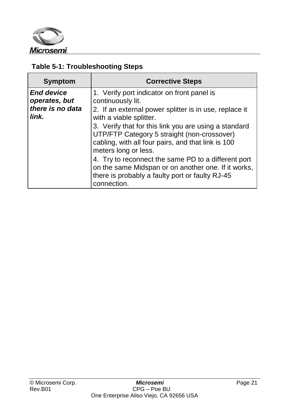

#### **Table 5-1: Troubleshooting Steps**

| <b>Symptom</b>                                                  | <b>Corrective Steps</b>                                                                                                                                                                                                                                                                                                                                                                           |
|-----------------------------------------------------------------|---------------------------------------------------------------------------------------------------------------------------------------------------------------------------------------------------------------------------------------------------------------------------------------------------------------------------------------------------------------------------------------------------|
| <b>End device</b><br>operates, but<br>there is no data<br>link. | 1. Verify port indicator on front panel is<br>continuously lit.<br>2. If an external power splitter is in use, replace it<br>with a viable splitter.<br>3. Verify that for this link you are using a standard<br>UTP/FTP Category 5 straight (non-crossover)<br>cabling, with all four pairs, and that link is 100<br>meters long or less.<br>4. Try to reconnect the same PD to a different port |
|                                                                 | on the same Midspan or on another one. If it works,<br>there is probably a faulty port or faulty RJ-45<br>connection.                                                                                                                                                                                                                                                                             |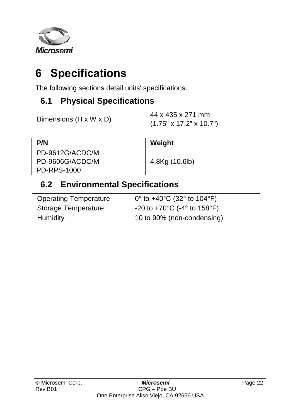

# <span id="page-21-0"></span>**6 Specifications**

The following sections detail units' specifications.

### <span id="page-21-1"></span>**6.1 Physical Specifications**

| Dimensions (H x W x D) |
|------------------------|
|------------------------|

44 x 435 x 271 mm (1.75" x 17.2" x 10.7")

| P/N             | Weight         |
|-----------------|----------------|
| PD-9612G/ACDC/M |                |
| PD-9606G/ACDC/M | 4.8Kg (10.6lb) |
| PD-RPS-1000     |                |

### <span id="page-21-2"></span>**6.2 Environmental Specifications**

| <b>Operating Temperature</b> | 0° to +40°C (32° to 104°F)                                  |
|------------------------------|-------------------------------------------------------------|
| Storage Temperature          | -20 to +70 $^{\circ}$ C (-4 $^{\circ}$ to 158 $^{\circ}$ F) |
| Humidity                     | 10 to 90% (non-condensing)                                  |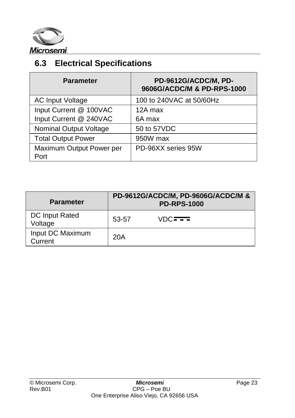

# <span id="page-22-0"></span>**6.3 Electrical Specifications**

| <b>Parameter</b>                 | PD-9612G/ACDC/M, PD-<br>9606G/ACDC/M & PD-RPS-1000 |
|----------------------------------|----------------------------------------------------|
| <b>AC Input Voltage</b>          | 100 to 240VAC at 50/60Hz                           |
| Input Current @ 100VAC           | 12A max                                            |
| Input Current @ 240VAC           | 6A max                                             |
| Nominal Output Voltage           | 50 to 57VDC                                        |
| <b>Total Output Power</b>        | 950W max                                           |
| Maximum Output Power per<br>Port | PD-96XX series 95W                                 |

| <b>Parameter</b>            |       | PD-9612G/ACDC/M, PD-9606G/ACDC/M &<br><b>PD-RPS-1000</b> |
|-----------------------------|-------|----------------------------------------------------------|
| DC Input Rated<br>Voltage   | 53-57 | VDC <del>ITI</del>                                       |
| Input DC Maximum<br>Current | 20A   |                                                          |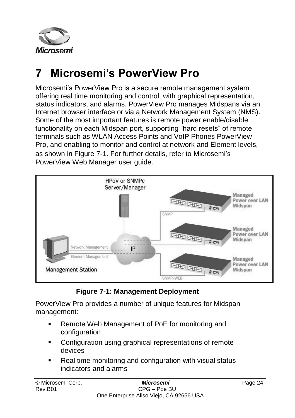

# <span id="page-23-0"></span>**7 Microsemi's PowerView Pro**

Microsemi's PowerView Pro is a secure remote management system offering real time monitoring and control, with graphical representation, status indicators, and alarms. PowerView Pro manages Midspans via an Internet browser interface or via a Network Management System (NMS). Some of the most important features is remote power enable/disable functionality on each Midspan port, supporting "hard resets" of remote terminals such as WLAN Access Points and VoIP Phones PowerView Pro, and enabling to monitor and control at network and Element levels, as shown in [Figure 7-1.](#page-23-1) For further details, refer to Microsemi's PowerView Web Manager user guide.



**Figure 7-1: Management Deployment**

<span id="page-23-1"></span>PowerView Pro provides a number of unique features for Midspan management:

- Remote Web Management of PoE for monitoring and configuration
- **Configuration using graphical representations of remote** devices
- Real time monitoring and configuration with visual status indicators and alarms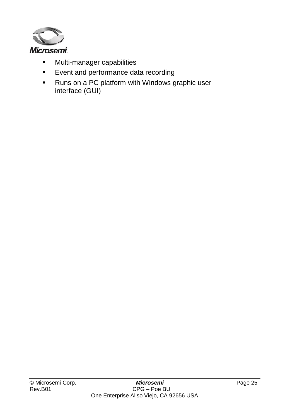

- **Multi-manager capabilities**
- **Event and performance data recording**
- Runs on a PC platform with Windows graphic user interface (GUI)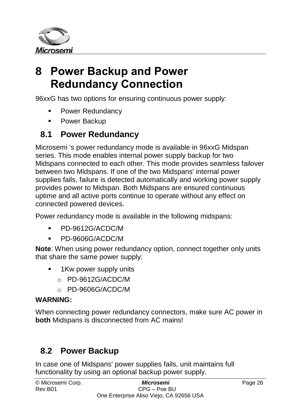

# <span id="page-25-0"></span>**8 Power Backup and Power Redundancy Connection**

96xxG has two options for ensuring continuous power supply:

- **Power Redundancy**
- **Power Backup**

### <span id="page-25-1"></span>**8.1 Power Redundancy**

Microsemi 's power redundancy mode is available in 96xxG Midspan series. This mode enables internal power supply backup for two Midspans connected to each other. This mode provides seamless failover between two Midspans. If one of the two Midspans' internal power supplies fails, failure is detected automatically and working power supply provides power to Midspan. Both Midspans are ensured continuous uptime and all active ports continue to operate without any effect on connected powered devices.

Power redundancy mode is available in the following midspans:

- PD-9612G/ACDC/M
- PD-9606G/ACDC/M

**Note**: When using power redundancy option, connect together only units that share the same power supply:

- **1Kw power supply units** 
	- o PD-9612G/ACDC/M
	- o PD-9606G/ACDC/M

#### **WARNING:**

When connecting power redundancy connectors, make sure AC power in **both** Midspans is disconnected from AC mains!

### <span id="page-25-2"></span>**8.2 Power Backup**

In case one of Midspans' power supplies fails, unit maintains full functionality by using an optional backup power supply.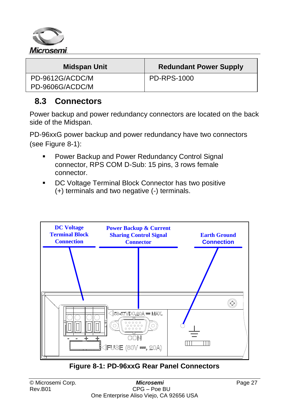

| Midspan Unit    | <b>Redundant Power Supply</b> |
|-----------------|-------------------------------|
| PD-9612G/ACDC/M | PD-RPS-1000                   |
| PD-9606G/ACDC/M |                               |

#### <span id="page-26-0"></span>**8.3 Connectors**

Power backup and power redundancy connectors are located on the back side of the Midspan.

PD-96xxG power backup and power redundancy have two connectors (see [Figure 8-1\)](#page-26-1):

- **Power Backup and Power Redundancy Control Signal** connector, RPS COM D-Sub: 15 pins, 3 rows female connector.
- **DC Voltage Terminal Block Connector has two positive** (+) terminals and two negative (-) terminals.



<span id="page-26-1"></span>**Figure 8-1: PD-96xxG Rear Panel Connectors**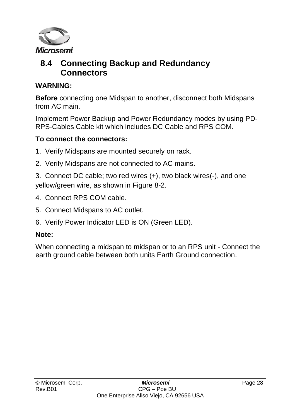

#### <span id="page-27-0"></span>**8.4 Connecting Backup and Redundancy Connectors**

#### **WARNING:**

**Before** connecting one Midspan to another, disconnect both Midspans from AC main.

Implement Power Backup and Power Redundancy modes by using PD-RPS-Cables Cable kit which includes DC Cable and RPS COM.

#### **To connect the connectors:**

- 1. Verify Midspans are mounted securely on rack.
- 2. Verify Midspans are not connected to AC mains.

3. Connect DC cable; two red wires (+), two black wires(-), and one yellow/green wire, as shown in [Figure 8-2.](#page-29-1)

- 4. Connect RPS COM cable.
- 5. Connect Midspans to AC outlet.
- 6. Verify Power Indicator LED is ON (Green LED).

#### **Note:**

When connecting a midspan to midspan or to an RPS unit - Connect the earth ground cable between both units Earth Ground connection.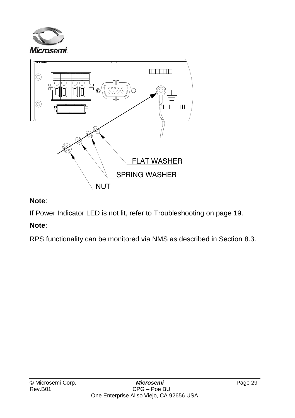



#### **Note**:

If Power Indicator LED is not lit, refer to [Troubleshooting](#page-18-0) on page [19.](#page-18-0)

#### **Note**:

RPS functionality can be monitored via NMS as described in Section [8.3.](#page-26-0)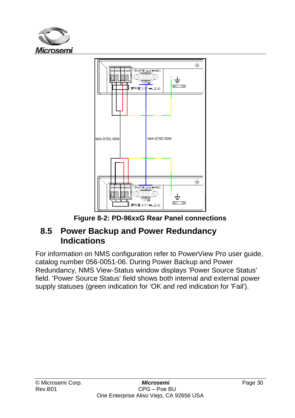



**Figure 8-2: PD-96xxG Rear Panel connections**

#### <span id="page-29-1"></span><span id="page-29-0"></span>**8.5 Power Backup and Power Redundancy Indications**

For information on NMS configuration refer to PowerView Pro user guide, catalog number 056-0051-06. During Power Backup and Power Redundancy, NMS View-Status window displays 'Power Source Status' field. 'Power Source Status' field shows both internal and external power supply statuses (green indication for 'OK and red indication for 'Fail').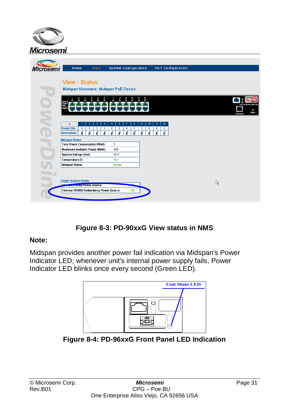

| <b>Microsemi</b>                                             | Home                                                                                             | View.                                                  | <b>System Configuration</b>                                                     |                                                          | <b>Port Configuration</b>        |   |                                          |
|--------------------------------------------------------------|--------------------------------------------------------------------------------------------------|--------------------------------------------------------|---------------------------------------------------------------------------------|----------------------------------------------------------|----------------------------------|---|------------------------------------------|
| <b>View - Status</b><br>Midspan Nickname: Midspan PoE Device |                                                                                                  |                                                        |                                                                                 |                                                          |                                  |   |                                          |
|                                                              | Data &<br>ľЖ<br><b>Data In</b>                                                                   |                                                        |                                                                                 | 11<br>12<br>10                                           |                                  |   | PowerDsine 98120<br>٠<br>Main<br>Console |
| o MZe                                                        | #<br>$\overline{1}$<br>Power (W)<br>$\bf{0}$<br><b>Description</b>                               | $\overline{2}$<br>э<br>4<br>0<br>$\circ$<br>$^{\circ}$ | $\overline{6}$<br>$\overline{7}$<br>6<br>$^{\circ}$<br>$^{\circ}$<br>$^{\circ}$ | $\bullet$<br>10<br>8<br>$\bullet$<br>$\bf{0}$<br>$\circ$ | 12<br>44<br>$\bullet$<br>$\circ$ |   |                                          |
|                                                              | <b>Midspan Status</b><br><b>Total Power Consumption (Watt)</b><br>Maximum available Power (Watt) |                                                        | 0<br>950                                                                        |                                                          |                                  |   |                                          |
|                                                              | System Voltage (Volt)<br>Temperature (F)<br><b>Midspan Status</b>                                |                                                        | 55.5<br>76.1<br>Active                                                          |                                                          |                                  |   |                                          |
|                                                              | <b>Power Source Status</b><br>Info<br><b>Mary (20099) POWER SOURCE</b>                           |                                                        |                                                                                 | تنم                                                      |                                  | R |                                          |
|                                                              | External (950W) Redundancy Power Source                                                          |                                                        |                                                                                 | Ok                                                       |                                  |   |                                          |

#### **Figure 8-3: PD-90xxG View status in NMS**

#### **Note:**

Midspan provides another power fail indication via Midspan's Power Indicator LED; whenever unit's internal power supply fails, Power Indicator LED blinks once every second (Green LED).



**Figure 8-4: PD-96xxG Front Panel LED Indication**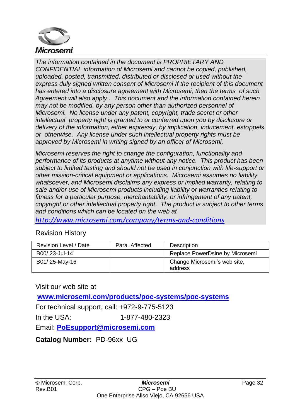

*The information contained in the document is PROPRIETARY AND CONFIDENTIAL information of Microsemi and cannot be copied, published, uploaded, posted, transmitted, distributed or disclosed or used without the express duly signed written consent of Microsemi If the recipient of this document has entered into a disclosure agreement with Microsemi, then the terms of such Agreement will also apply . This document and the information contained herein may not be modified, by any person other than authorized personnel of Microsemi. No license under any patent, copyright, trade secret or other intellectual property right is granted to or conferred upon you by disclosure or delivery of the information, either expressly, by implication, inducement, estoppels or otherwise. Any license under such intellectual property rights must be approved by Microsemi in writing signed by an officer of Microsemi.*

*Microsemi reserves the right to change the configuration, functionality and performance of its products at anytime without any notice. This product has been subject to limited testing and should not be used in conjunction with life-support or other mission-critical equipment or applications. Microsemi assumes no liability whatsoever, and Microsemi disclaims any express or implied warranty, relating to sale and/or use of Microsemi products including liability or warranties relating to fitness for a particular purpose, merchantability, or infringement of any patent, copyright or other intellectual property right. The product is subject to other terms and conditions which can be located on the web at*

*<http://www.microsemi.com/company/terms-and-conditions>*

Revision History

| Revision Level / Date | Para, Affected | Description                             |
|-----------------------|----------------|-----------------------------------------|
| B00/23-Jul-14         |                | Replace PowerDsine by Microsemi         |
| B01/25-May-16         |                | Change Microsemi's web site,<br>address |

Visit our web site at

**[www.microsemi.com/products/poe-systems/poe-systems](http://www.microsemi.com/products/poe-systems/poe-systems)**

For technical support, call: +972-9-775-5123

In the USA: 1-877-480-2323

Email: **[PoEsupport@microsemi.com](mailto:PoEsupport@microsemi.com)**

**Catalog Number:** PD-96xx\_UG